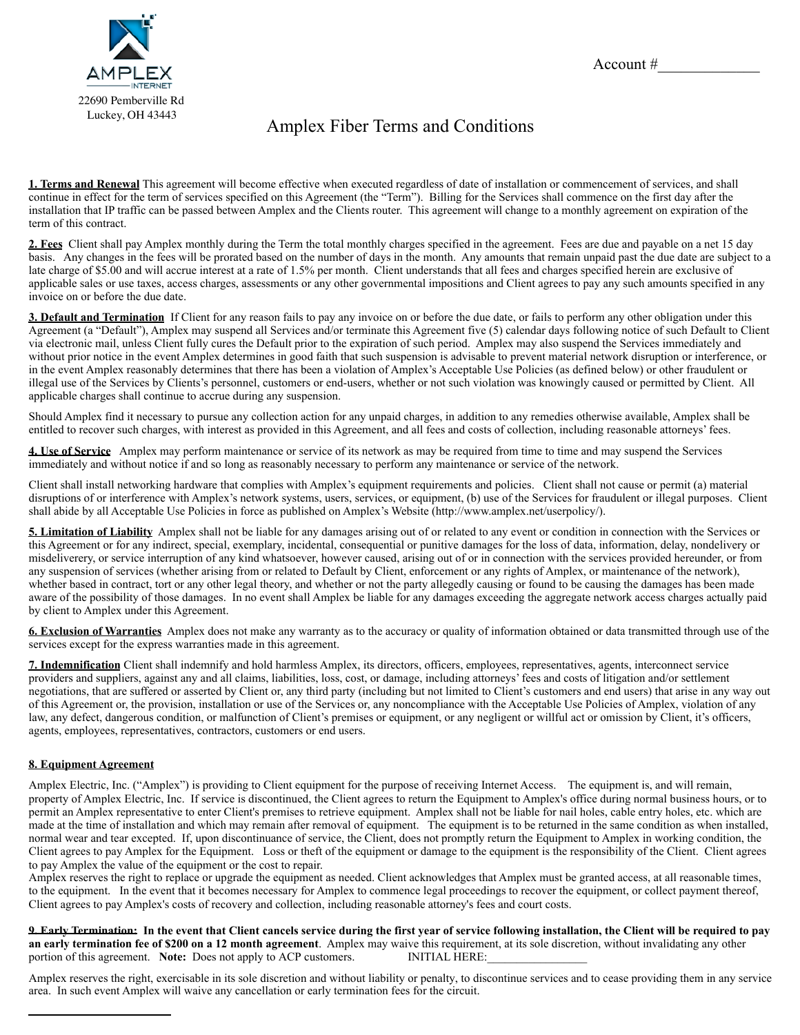

## Amplex Fiber Terms and Conditions

**1. Terms and Renewal** This agreement will become effective when executed regardless of date of installation or commencement of services, and shall continue in effect for the term of services specified on this Agreement (the "Term"). Billing for the Services shall commence on the first day after the installation that IP traffic can be passed between Amplex and the Clients router. This agreement will change to a monthly agreement on expiration of the term of this contract.

**2. Fees** Client shall pay Amplex monthly during the Term the total monthly charges specified in the agreement. Fees are due and payable on a net 15 day basis. Any changes in the fees will be prorated based on the number of days in the month. Any amounts that remain unpaid past the due date are subject to a late charge of \$5.00 and will accrue interest at a rate of 1.5% per month. Client understands that all fees and charges specified herein are exclusive of applicable sales or use taxes, access charges, assessments or any other governmental impositions and Client agrees to pay any such amounts specified in any invoice on or before the due date.

**3. Default and Termination** If Client for any reason fails to pay any invoice on or before the due date, or fails to perform any other obligation under this Agreement (a "Default"), Amplex may suspend all Services and/or terminate this Agreement five (5) calendar days following notice of such Default to Client via electronic mail, unless Client fully cures the Default prior to the expiration of such period. Amplex may also suspend the Services immediately and without prior notice in the event Amplex determines in good faith that such suspension is advisable to prevent material network disruption or interference, or in the event Amplex reasonably determines that there has been a violation of Amplex's Acceptable Use Policies (as defined below) or other fraudulent or illegal use of the Services by Clients's personnel, customers or end-users, whether or not such violation was knowingly caused or permitted by Client. All applicable charges shall continue to accrue during any suspension.

Should Amplex find it necessary to pursue any collection action for any unpaid charges, in addition to any remedies otherwise available, Amplex shall be entitled to recover such charges, with interest as provided in this Agreement, and all fees and costs of collection, including reasonable attorneys' fees.

**4. Use of Service** Amplex may perform maintenance or service of its network as may be required from time to time and may suspend the Services immediately and without notice if and so long as reasonably necessary to perform any maintenance or service of the network.

Client shall install networking hardware that complies with Amplex's equipment requirements and policies. Client shall not cause or permit (a) material disruptions of or interference with Amplex's network systems, users, services, or equipment, (b) use of the Services for fraudulent or illegal purposes. Client shall abide by all Acceptable Use Policies in force as published on Amplex's Website (http://www.amplex.net/userpolicy/).

**5. Limitation of Liability** Amplex shall not be liable for any damages arising out of or related to any event or condition in connection with the Services or this Agreement or for any indirect, special, exemplary, incidental, consequential or punitive damages for the loss of data, information, delay, nondelivery or misdeliverery, or service interruption of any kind whatsoever, however caused, arising out of or in connection with the services provided hereunder, or from any suspension of services (whether arising from or related to Default by Client, enforcement or any rights of Amplex, or maintenance of the network), whether based in contract, tort or any other legal theory, and whether or not the party allegedly causing or found to be causing the damages has been made aware of the possibility of those damages. In no event shall Amplex be liable for any damages exceeding the aggregate network access charges actually paid by client to Amplex under this Agreement.

**6. Exclusion of Warranties** Amplex does not make any warranty as to the accuracy or quality of information obtained or data transmitted through use of the services except for the express warranties made in this agreement.

**7. Indemnification** Client shall indemnify and hold harmless Amplex, its directors, officers, employees, representatives, agents, interconnect service providers and suppliers, against any and all claims, liabilities, loss, cost, or damage, including attorneys' fees and costs of litigation and/or settlement negotiations, that are suffered or asserted by Client or, any third party (including but not limited to Client's customers and end users) that arise in any way out of this Agreement or, the provision, installation or use of the Services or, any noncompliance with the Acceptable Use Policies of Amplex, violation of any law, any defect, dangerous condition, or malfunction of Client's premises or equipment, or any negligent or willful act or omission by Client, it's officers, agents, employees, representatives, contractors, customers or end users.

## **8. Equipment Agreement**

Amplex Electric, Inc. ("Amplex") is providing to Client equipment for the purpose of receiving Internet Access. The equipment is, and will remain, property of Amplex Electric, Inc. If service is discontinued, the Client agrees to return the Equipment to Amplex's office during normal business hours, or to permit an Amplex representative to enter Client's premises to retrieve equipment. Amplex shall not be liable for nail holes, cable entry holes, etc. which are made at the time of installation and which may remain after removal of equipment. The equipment is to be returned in the same condition as when installed, normal wear and tear excepted. If, upon discontinuance of service, the Client, does not promptly return the Equipment to Amplex in working condition, the Client agrees to pay Amplex for the Equipment. Loss or theft of the equipment or damage to the equipment is the responsibility of the Client. Client agrees to pay Amplex the value of the equipment or the cost to repair.

Amplex reserves the right to replace or upgrade the equipment as needed. Client acknowledges that Amplex must be granted access, at all reasonable times, to the equipment. In the event that it becomes necessary for Amplex to commence legal proceedings to recover the equipment, or collect payment thereof, Client agrees to pay Amplex's costs of recovery and collection, including reasonable attorney's fees and court costs.

**9. Early Termination: In the event that Client cancels service during the first year of service following installation, the Client will be required to pay an early termination fee of \$200 on a 12 month agreement**. Amplex may waive this requirement, at its sole discretion, without invalidating any other portion of this agreement. Note: Does not apply to ACP customers. INITIA portion of this agreement. **Note:** Does not apply to ACP customers.

Amplex reserves the right, exercisable in its sole discretion and without liability or penalty, to discontinue services and to cease providing them in any service area. In such event Amplex will waive any cancellation or early termination fees for the circuit.